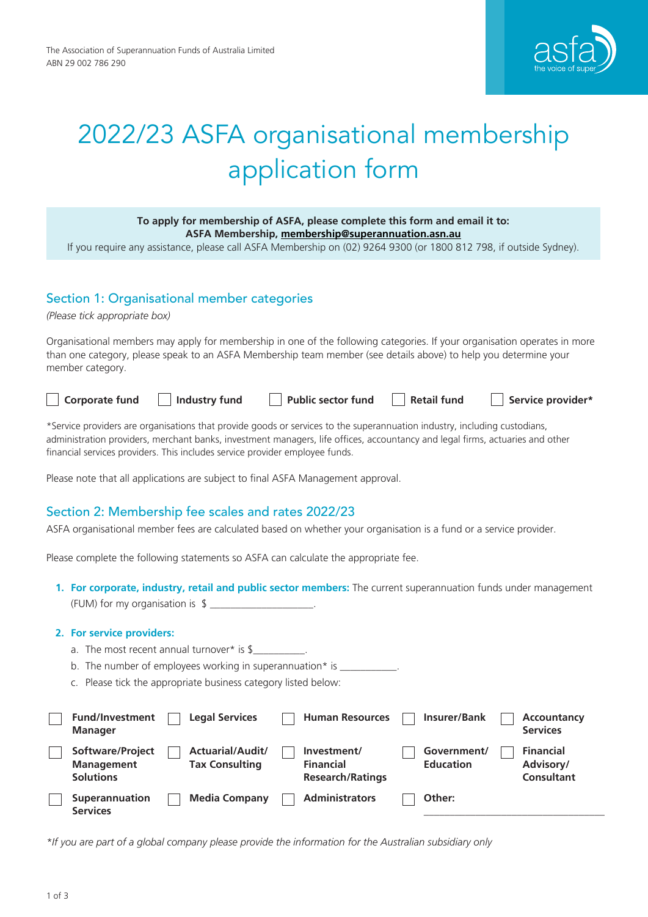

# 2022/23 ASFA organisational membership application form

| To apply for membership of ASFA, please complete this form and email it to: |
|-----------------------------------------------------------------------------|
| ASFA Membership, membership@superannuation.asn.au                           |
|                                                                             |

If you require any assistance, please call ASFA Membership on (02) 9264 9300 (or 1800 812 798, if outside Sydney).

# Section 1: Organisational member categories

*(Please tick appropriate box)*

Organisational members may apply for membership in one of the following categories. If your organisation operates in more than one category, please speak to an ASFA Membership team member (see details above) to help you determine your member category.

| <sup>'</sup> Corporate fund | $\Box$ Industry fund | Public sector fund | $\Box$ Retail fund | Service provider* |
|-----------------------------|----------------------|--------------------|--------------------|-------------------|
|-----------------------------|----------------------|--------------------|--------------------|-------------------|

\*Service providers are organisations that provide goods or services to the superannuation industry, including custodians, administration providers, merchant banks, investment managers, life offices, accountancy and legal firms, actuaries and other financial services providers. This includes service provider employee funds.

Please note that all applications are subject to final ASFA Management approval.

# Section 2: Membership fee scales and rates 2022/23

ASFA organisational member fees are calculated based on whether your organisation is a fund or a service provider.

Please complete the following statements so ASFA can calculate the appropriate fee.

**1. For corporate, industry, retail and public sector members:** The current superannuation funds under management (FUM) for my organisation is  $\frac{1}{2}$ 

#### **2. For service providers:**

- a. The most recent annual turnover\* is  $\frac{1}{2}$
- b. The number of employees working in superannuation\* is  $\frac{1}{2}$
- c. Please tick the appropriate business category listed below:

| <b>Fund/Investment</b><br><b>Manager</b>                  | <b>Legal Services</b>                     | <b>Human Resources</b>                                     | <b>Insurer/Bank</b>             | Accountancy<br><b>Services</b>              |
|-----------------------------------------------------------|-------------------------------------------|------------------------------------------------------------|---------------------------------|---------------------------------------------|
| Software/Project<br><b>Management</b><br><b>Solutions</b> | Actuarial/Audit/<br><b>Tax Consulting</b> | Investment/<br><b>Financial</b><br><b>Research/Ratings</b> | Government/<br><b>Education</b> | <b>Financial</b><br>Advisory/<br>Consultant |
| <b>Superannuation</b><br><b>Services</b>                  | <b>Media Company</b>                      | <b>Administrators</b>                                      | Other:                          |                                             |

*\*If you are part of a global company please provide the information for the Australian subsidiary only*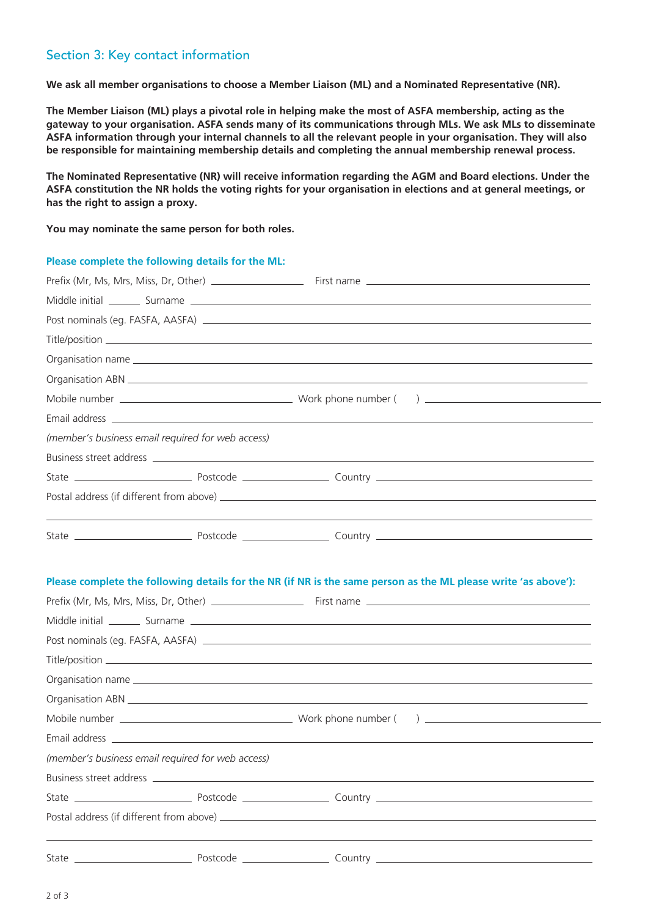## Section 3: Key contact information

**We ask all member organisations to choose a Member Liaison (ML) and a Nominated Representative (NR).** 

**The Member Liaison (ML) plays a pivotal role in helping make the most of ASFA membership, acting as the gateway to your organisation. ASFA sends many of its communications through MLs. We ask MLs to disseminate ASFA information through your internal channels to all the relevant people in your organisation. They will also be responsible for maintaining membership details and completing the annual membership renewal process.** 

**The Nominated Representative (NR) will receive information regarding the AGM and Board elections. Under the ASFA constitution the NR holds the voting rights for your organisation in elections and at general meetings, or has the right to assign a proxy.** 

**You may nominate the same person for both roles.** 

# **Please complete the following details for the ML:**

| (member's business email required for web access) |                                                                                                                |
|---------------------------------------------------|----------------------------------------------------------------------------------------------------------------|
|                                                   |                                                                                                                |
|                                                   |                                                                                                                |
|                                                   |                                                                                                                |
|                                                   |                                                                                                                |
|                                                   | Please complete the following details for the NR (if NR is the same person as the ML please write 'as above'): |
|                                                   |                                                                                                                |
|                                                   |                                                                                                                |
|                                                   |                                                                                                                |
|                                                   |                                                                                                                |
|                                                   |                                                                                                                |
|                                                   |                                                                                                                |
| (member's business email required for web access) |                                                                                                                |
|                                                   |                                                                                                                |
|                                                   |                                                                                                                |
|                                                   |                                                                                                                |
|                                                   |                                                                                                                |